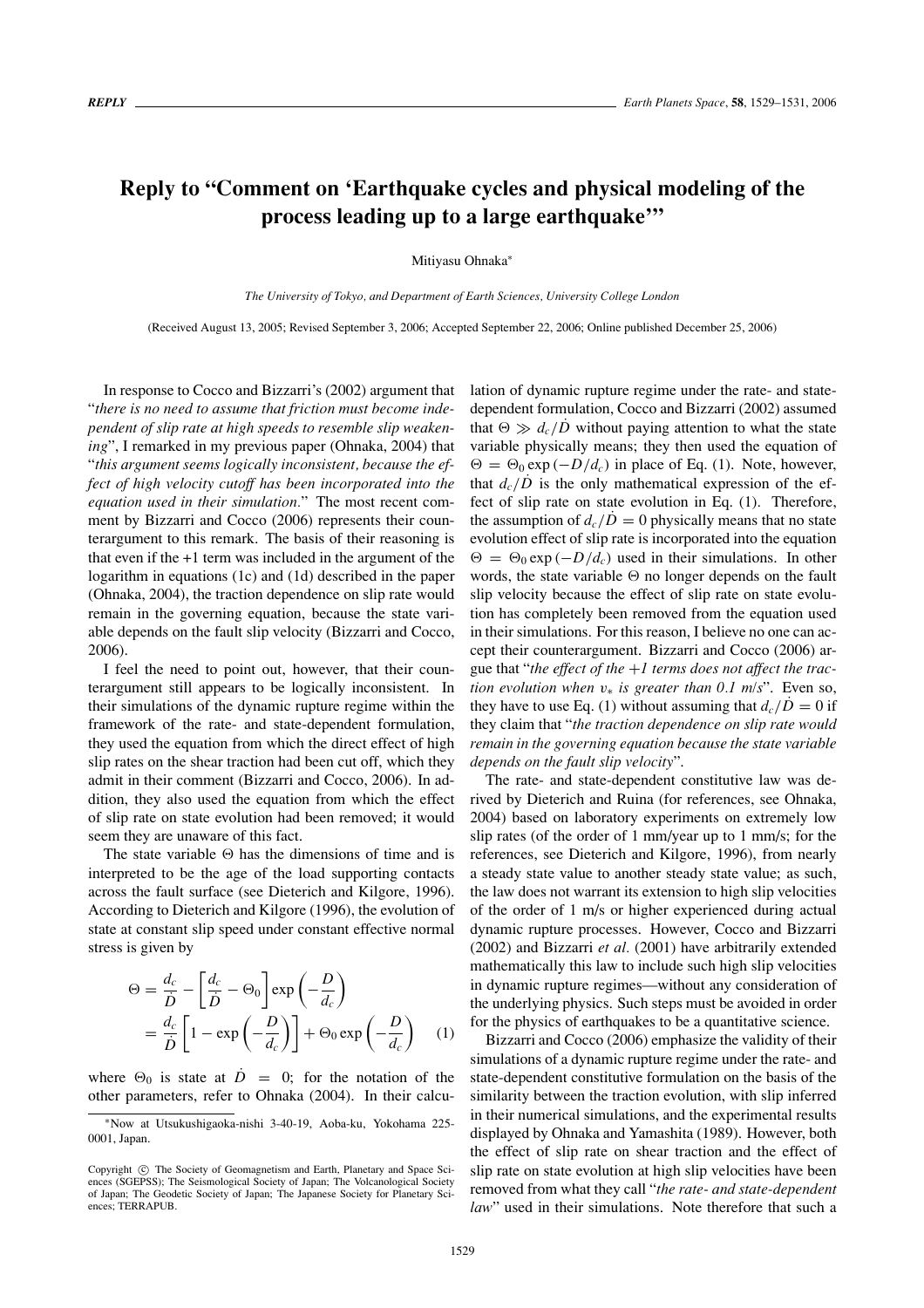## **Reply to "Comment on 'Earthquake cycles and physical modeling of the process leading up to a large earthquake'"**

Mitiyasu Ohnaka<sup>∗</sup>

*The University of Tokyo, and Department of Earth Sciences, University College London*

(Received August 13, 2005; Revised September 3, 2006; Accepted September 22, 2006; Online published December 25, 2006)

In response to Cocco and Bizzarri's (2002) argument that "*there is no need to assume that friction must become independent of slip rate at high speeds to resemble slip weakening*", I remarked in my previous paper (Ohnaka, 2004) that "*this argument seems logically inconsistent, because the effect of high velocity cutoff has been incorporated into the equation used in their simulation.*" The most recent comment by Bizzarri and Cocco (2006) represents their counterargument to this remark. The basis of their reasoning is that even if the +1 term was included in the argument of the logarithm in equations (1c) and (1d) described in the paper (Ohnaka, 2004), the traction dependence on slip rate would remain in the governing equation, because the state variable depends on the fault slip velocity (Bizzarri and Cocco, 2006).

I feel the need to point out, however, that their counterargument still appears to be logically inconsistent. In their simulations of the dynamic rupture regime within the framework of the rate- and state-dependent formulation, they used the equation from which the direct effect of high slip rates on the shear traction had been cut off, which they admit in their comment (Bizzarri and Cocco, 2006). In addition, they also used the equation from which the effect of slip rate on state evolution had been removed; it would seem they are unaware of this fact.

The state variable  $\Theta$  has the dimensions of time and is interpreted to be the age of the load supporting contacts across the fault surface (see Dieterich and Kilgore, 1996). According to Dieterich and Kilgore (1996), the evolution of state at constant slip speed under constant effective normal stress is given by

$$
\Theta = \frac{d_c}{\dot{D}} - \left[\frac{d_c}{\dot{D}} - \Theta_0\right] \exp\left(-\frac{D}{d_c}\right)
$$
  
=  $\frac{d_c}{\dot{D}} \left[1 - \exp\left(-\frac{D}{d_c}\right)\right] + \Theta_0 \exp\left(-\frac{D}{d_c}\right)$  (1)

where  $\Theta_0$  is state at  $\dot{D} = 0$ ; for the notation of the other parameters, refer to Ohnaka (2004). In their calculation of dynamic rupture regime under the rate- and statedependent formulation, Cocco and Bizzarri (2002) assumed that  $\Theta \gg d_c/D$  without paying attention to what the state variable physically means; they then used the equation of  $\Theta = \Theta_0 \exp(-D/d_c)$  in place of Eq. (1). Note, however, that  $d_c/D$  is the only mathematical expression of the effect of slip rate on state evolution in Eq. (1). Therefore, the assumption of  $d_c/\dot{D} = 0$  physically means that no state evolution effect of slip rate is incorporated into the equation  $\Theta = \Theta_0 \exp(-D/d_c)$  used in their simulations. In other words, the state variable  $\Theta$  no longer depends on the fault slip velocity because the effect of slip rate on state evolution has completely been removed from the equation used in their simulations. For this reason, I believe no one can accept their counterargument. Bizzarri and Cocco (2006) argue that "*the effect of the* +*1 terms does not affect the traction evolution when*  $v∗$  *is greater than* 0.1 m/s". Even so, they have to use Eq. (1) without assuming that  $d_c/D = 0$  if they claim that "*the traction dependence on slip rate would remain in the governing equation because the state variable depends on the fault slip velocity*".

The rate- and state-dependent constitutive law was derived by Dieterich and Ruina (for references, see Ohnaka, 2004) based on laboratory experiments on extremely low slip rates (of the order of 1 mm/year up to 1 mm/s; for the references, see Dieterich and Kilgore, 1996), from nearly a steady state value to another steady state value; as such, the law does not warrant its extension to high slip velocities of the order of 1 m/s or higher experienced during actual dynamic rupture processes. However, Cocco and Bizzarri (2002) and Bizzarri *et al.* (2001) have arbitrarily extended mathematically this law to include such high slip velocities in dynamic rupture regimes—without any consideration of the underlying physics. Such steps must be avoided in order for the physics of earthquakes to be a quantitative science.

Bizzarri and Cocco (2006) emphasize the validity of their simulations of a dynamic rupture regime under the rate- and state-dependent constitutive formulation on the basis of the similarity between the traction evolution, with slip inferred in their numerical simulations, and the experimental results displayed by Ohnaka and Yamashita (1989). However, both the effect of slip rate on shear traction and the effect of slip rate on state evolution at high slip velocities have been removed from what they call "*the rate- and state-dependent law*" used in their simulations. Note therefore that such a

<sup>∗</sup>Now at Utsukushigaoka-nishi 3-40-19, Aoba-ku, Yokohama 225- 0001, Japan.

Copyright  $\odot$  The Society of Geomagnetism and Earth, Planetary and Space Sciences (SGEPSS); The Seismological Society of Japan; The Volcanological Society of Japan; The Geodetic Society of Japan; The Japanese Society for Planetary Sciences; TERRAPUB.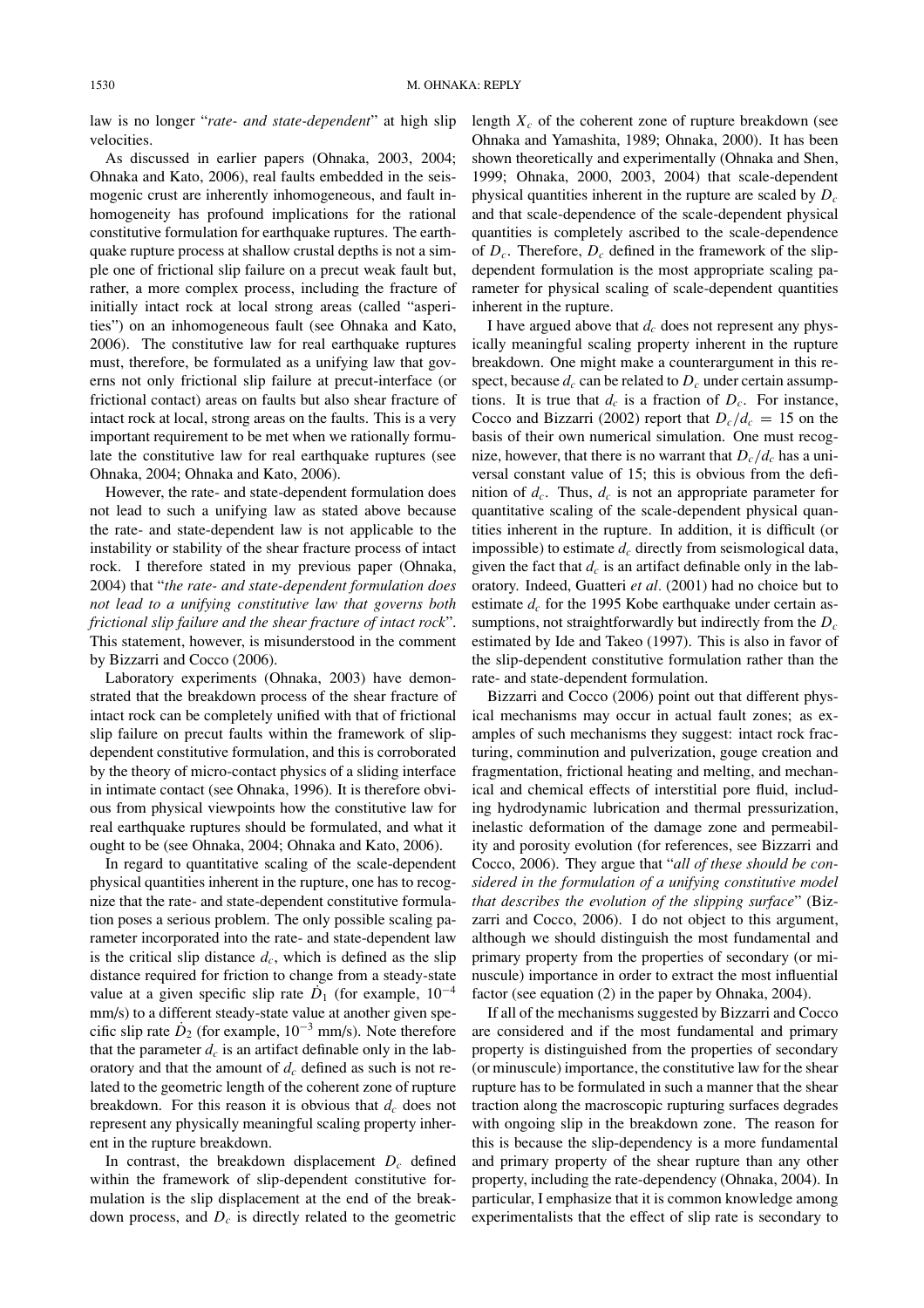law is no longer "*rate- and state-dependent*" at high slip velocities.

As discussed in earlier papers (Ohnaka, 2003, 2004; Ohnaka and Kato, 2006), real faults embedded in the seismogenic crust are inherently inhomogeneous, and fault inhomogeneity has profound implications for the rational constitutive formulation for earthquake ruptures. The earthquake rupture process at shallow crustal depths is not a simple one of frictional slip failure on a precut weak fault but, rather, a more complex process, including the fracture of initially intact rock at local strong areas (called "asperities") on an inhomogeneous fault (see Ohnaka and Kato, 2006). The constitutive law for real earthquake ruptures must, therefore, be formulated as a unifying law that governs not only frictional slip failure at precut-interface (or frictional contact) areas on faults but also shear fracture of intact rock at local, strong areas on the faults. This is a very important requirement to be met when we rationally formulate the constitutive law for real earthquake ruptures (see Ohnaka, 2004; Ohnaka and Kato, 2006).

However, the rate- and state-dependent formulation does not lead to such a unifying law as stated above because the rate- and state-dependent law is not applicable to the instability or stability of the shear fracture process of intact rock. I therefore stated in my previous paper (Ohnaka, 2004) that "*the rate- and state-dependent formulation does not lead to a unifying constitutive law that governs both frictional slip failure and the shear fracture of intact rock*". This statement, however, is misunderstood in the comment by Bizzarri and Cocco (2006).

Laboratory experiments (Ohnaka, 2003) have demonstrated that the breakdown process of the shear fracture of intact rock can be completely unified with that of frictional slip failure on precut faults within the framework of slipdependent constitutive formulation, and this is corroborated by the theory of micro-contact physics of a sliding interface in intimate contact (see Ohnaka, 1996). It is therefore obvious from physical viewpoints how the constitutive law for real earthquake ruptures should be formulated, and what it ought to be (see Ohnaka, 2004; Ohnaka and Kato, 2006).

In regard to quantitative scaling of the scale-dependent physical quantities inherent in the rupture, one has to recognize that the rate- and state-dependent constitutive formulation poses a serious problem. The only possible scaling parameter incorporated into the rate- and state-dependent law is the critical slip distance  $d_c$ , which is defined as the slip distance required for friction to change from a steady-state value at a given specific slip rate  $\dot{D}_1$  (for example, 10<sup>-4</sup> mm/s) to a different steady-state value at another given specific slip rate  $\dot{D}_2$  (for example,  $10^{-3}$  mm/s). Note therefore that the parameter  $d_c$  is an artifact definable only in the laboratory and that the amount of  $d_c$  defined as such is not related to the geometric length of the coherent zone of rupture breakdown. For this reason it is obvious that  $d_c$  does not represent any physically meaningful scaling property inherent in the rupture breakdown.

In contrast, the breakdown displacement  $D_c$  defined within the framework of slip-dependent constitutive formulation is the slip displacement at the end of the breakdown process, and  $D<sub>c</sub>$  is directly related to the geometric length  $X_c$  of the coherent zone of rupture breakdown (see Ohnaka and Yamashita, 1989; Ohnaka, 2000). It has been shown theoretically and experimentally (Ohnaka and Shen, 1999; Ohnaka, 2000, 2003, 2004) that scale-dependent physical quantities inherent in the rupture are scaled by *Dc* and that scale-dependence of the scale-dependent physical quantities is completely ascribed to the scale-dependence of  $D_c$ . Therefore,  $D_c$  defined in the framework of the slipdependent formulation is the most appropriate scaling parameter for physical scaling of scale-dependent quantities inherent in the rupture.

I have argued above that *dc* does not represent any physically meaningful scaling property inherent in the rupture breakdown. One might make a counterargument in this respect, because  $d_c$  can be related to  $D_c$  under certain assumptions. It is true that  $d_c$  is a fraction of  $D_c$ . For instance, Cocco and Bizzarri (2002) report that  $D_c/d_c = 15$  on the basis of their own numerical simulation. One must recognize, however, that there is no warrant that  $D_c/d_c$  has a universal constant value of 15; this is obvious from the definition of  $d_c$ . Thus,  $d_c$  is not an appropriate parameter for quantitative scaling of the scale-dependent physical quantities inherent in the rupture. In addition, it is difficult (or impossible) to estimate  $d_c$  directly from seismological data, given the fact that  $d_c$  is an artifact definable only in the laboratory. Indeed, Guatteri *et al.* (2001) had no choice but to estimate  $d_c$  for the 1995 Kobe earthquake under certain assumptions, not straightforwardly but indirectly from the  $D_c$ estimated by Ide and Takeo (1997). This is also in favor of the slip-dependent constitutive formulation rather than the rate- and state-dependent formulation.

Bizzarri and Cocco (2006) point out that different physical mechanisms may occur in actual fault zones; as examples of such mechanisms they suggest: intact rock fracturing, comminution and pulverization, gouge creation and fragmentation, frictional heating and melting, and mechanical and chemical effects of interstitial pore fluid, including hydrodynamic lubrication and thermal pressurization, inelastic deformation of the damage zone and permeability and porosity evolution (for references, see Bizzarri and Cocco, 2006). They argue that "*all of these should be considered in the formulation of a unifying constitutive model that describes the evolution of the slipping surface*" (Bizzarri and Cocco, 2006). I do not object to this argument, although we should distinguish the most fundamental and primary property from the properties of secondary (or minuscule) importance in order to extract the most influential factor (see equation (2) in the paper by Ohnaka, 2004).

If all of the mechanisms suggested by Bizzarri and Cocco are considered and if the most fundamental and primary property is distinguished from the properties of secondary (or minuscule) importance, the constitutive law for the shear rupture has to be formulated in such a manner that the shear traction along the macroscopic rupturing surfaces degrades with ongoing slip in the breakdown zone. The reason for this is because the slip-dependency is a more fundamental and primary property of the shear rupture than any other property, including the rate-dependency (Ohnaka, 2004). In particular, I emphasize that it is common knowledge among experimentalists that the effect of slip rate is secondary to